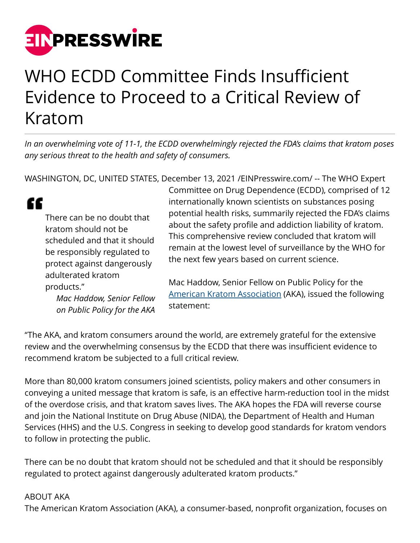

## WHO ECDD Committee Finds Insufficient Evidence to Proceed to a Critical Review of Kratom

*In an overwhelming vote of 11-1, the ECDD overwhelmingly rejected the FDA's claims that kratom poses any serious threat to the health and safety of consumers.*

WASHINGTON, DC, UNITED STATES, December 13, 2021 [/EINPresswire.com](http://www.einpresswire.com)/ -- The WHO Expert

| There can be no doubt that<br>kratom should not be<br>scheduled and that it should<br>be responsibly regulated to<br>protect against dangerously<br>adulterated kratom<br>products."<br>Mac Haddow, Senior Fellow<br>on Public Policy for the AKA | Committee on Drug Dependence (ECDD), comprised of 12<br>internationally known scientists on substances posing<br>potential health risks, summarily rejected the FDA's claims<br>about the safety profile and addiction liability of kratom.<br>This comprehensive review concluded that kratom will<br>remain at the lowest level of surveillance by the WHO for<br>the next few years based on current science.<br>Mac Haddow, Senior Fellow on Public Policy for the<br>American Kratom Association (AKA), issued the following<br>statement: |
|---------------------------------------------------------------------------------------------------------------------------------------------------------------------------------------------------------------------------------------------------|-------------------------------------------------------------------------------------------------------------------------------------------------------------------------------------------------------------------------------------------------------------------------------------------------------------------------------------------------------------------------------------------------------------------------------------------------------------------------------------------------------------------------------------------------|
|                                                                                                                                                                                                                                                   |                                                                                                                                                                                                                                                                                                                                                                                                                                                                                                                                                 |

"The AKA, and kratom consumers around the world, are extremely grateful for the extensive review and the overwhelming consensus by the ECDD that there was insufficient evidence to recommend kratom be subjected to a full critical review.

More than 80,000 kratom consumers joined scientists, policy makers and other consumers in conveying a united message that kratom is safe, is an effective harm-reduction tool in the midst of the overdose crisis, and that kratom saves lives. The AKA hopes the FDA will reverse course and join the National Institute on Drug Abuse (NIDA), the Department of Health and Human Services (HHS) and the U.S. Congress in seeking to develop good standards for kratom vendors to follow in protecting the public.

There can be no doubt that kratom should not be scheduled and that it should be responsibly regulated to protect against dangerously adulterated kratom products."

## ABOUT AKA

The American Kratom Association (AKA), a consumer-based, nonprofit organization, focuses on